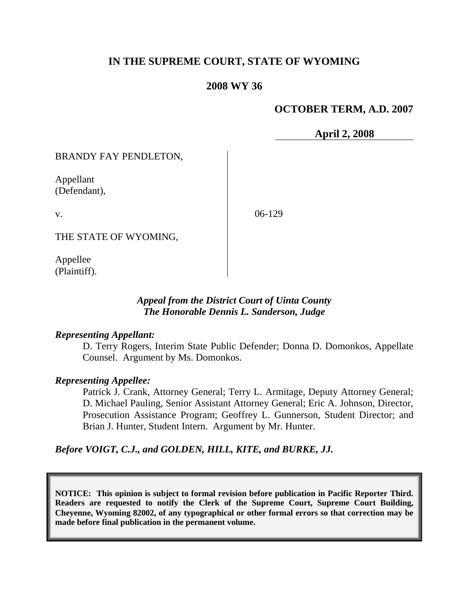# **IN THE SUPREME COURT, STATE OF WYOMING**

### **2008 WY 36**

## **OCTOBER TERM, A.D. 2007**

**April 2, 2008**

BRANDY FAY PENDLETON,

Appellant (Defendant),

v.

06-129

THE STATE OF WYOMING,

Appellee (Plaintiff).

### *Appeal from the District Court of Uinta County The Honorable Dennis L. Sanderson, Judge*

#### *Representing Appellant:*

D. Terry Rogers, Interim State Public Defender; Donna D. Domonkos, Appellate Counsel. Argument by Ms. Domonkos.

### *Representing Appellee:*

Patrick J. Crank, Attorney General; Terry L. Armitage, Deputy Attorney General; D. Michael Pauling, Senior Assistant Attorney General; Eric A. Johnson, Director, Prosecution Assistance Program; Geoffrey L. Gunnerson, Student Director; and Brian J. Hunter, Student Intern. Argument by Mr. Hunter.

*Before VOIGT, C.J., and GOLDEN, HILL, KITE, and BURKE, JJ.*

**NOTICE: This opinion is subject to formal revision before publication in Pacific Reporter Third. Readers are requested to notify the Clerk of the Supreme Court, Supreme Court Building, Cheyenne, Wyoming 82002, of any typographical or other formal errors so that correction may be made before final publication in the permanent volume.**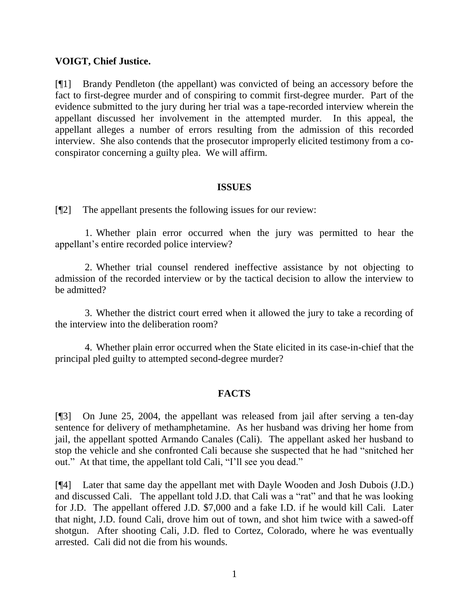#### **VOIGT, Chief Justice.**

[¶1] Brandy Pendleton (the appellant) was convicted of being an accessory before the fact to first-degree murder and of conspiring to commit first-degree murder. Part of the evidence submitted to the jury during her trial was a tape-recorded interview wherein the appellant discussed her involvement in the attempted murder. In this appeal, the appellant alleges a number of errors resulting from the admission of this recorded interview. She also contends that the prosecutor improperly elicited testimony from a coconspirator concerning a guilty plea. We will affirm.

#### **ISSUES**

[¶2] The appellant presents the following issues for our review:

1. Whether plain error occurred when the jury was permitted to hear the appellant"s entire recorded police interview?

2. Whether trial counsel rendered ineffective assistance by not objecting to admission of the recorded interview or by the tactical decision to allow the interview to be admitted?

3. Whether the district court erred when it allowed the jury to take a recording of the interview into the deliberation room?

4. Whether plain error occurred when the State elicited in its case-in-chief that the principal pled guilty to attempted second-degree murder?

# **FACTS**

[¶3] On June 25, 2004, the appellant was released from jail after serving a ten-day sentence for delivery of methamphetamine. As her husband was driving her home from jail, the appellant spotted Armando Canales (Cali). The appellant asked her husband to stop the vehicle and she confronted Cali because she suspected that he had "snitched her out." At that time, the appellant told Cali, "I"ll see you dead."

[¶4] Later that same day the appellant met with Dayle Wooden and Josh Dubois (J.D.) and discussed Cali. The appellant told J.D. that Cali was a "rat" and that he was looking for J.D. The appellant offered J.D. \$7,000 and a fake I.D. if he would kill Cali. Later that night, J.D. found Cali, drove him out of town, and shot him twice with a sawed-off shotgun. After shooting Cali, J.D. fled to Cortez, Colorado, where he was eventually arrested. Cali did not die from his wounds.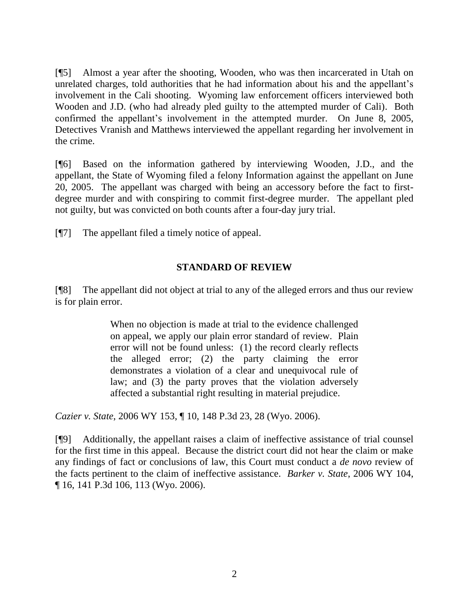[¶5] Almost a year after the shooting, Wooden, who was then incarcerated in Utah on unrelated charges, told authorities that he had information about his and the appellant's involvement in the Cali shooting. Wyoming law enforcement officers interviewed both Wooden and J.D. (who had already pled guilty to the attempted murder of Cali). Both confirmed the appellant's involvement in the attempted murder. On June 8, 2005, Detectives Vranish and Matthews interviewed the appellant regarding her involvement in the crime.

[¶6] Based on the information gathered by interviewing Wooden, J.D., and the appellant, the State of Wyoming filed a felony Information against the appellant on June 20, 2005. The appellant was charged with being an accessory before the fact to firstdegree murder and with conspiring to commit first-degree murder. The appellant pled not guilty, but was convicted on both counts after a four-day jury trial.

[¶7] The appellant filed a timely notice of appeal.

# **STANDARD OF REVIEW**

[¶8] The appellant did not object at trial to any of the alleged errors and thus our review is for plain error.

> When no objection is made at trial to the evidence challenged on appeal, we apply our plain error standard of review. Plain error will not be found unless: (1) the record clearly reflects the alleged error; (2) the party claiming the error demonstrates a violation of a clear and unequivocal rule of law; and (3) the party proves that the violation adversely affected a substantial right resulting in material prejudice.

*Cazier v. State*, 2006 WY 153, ¶ 10, 148 P.3d 23, 28 (Wyo. 2006).

[¶9] Additionally, the appellant raises a claim of ineffective assistance of trial counsel for the first time in this appeal. Because the district court did not hear the claim or make any findings of fact or conclusions of law, this Court must conduct a *de novo* review of the facts pertinent to the claim of ineffective assistance. *Barker v. State*, 2006 WY 104, ¶ 16, 141 P.3d 106, 113 (Wyo. 2006).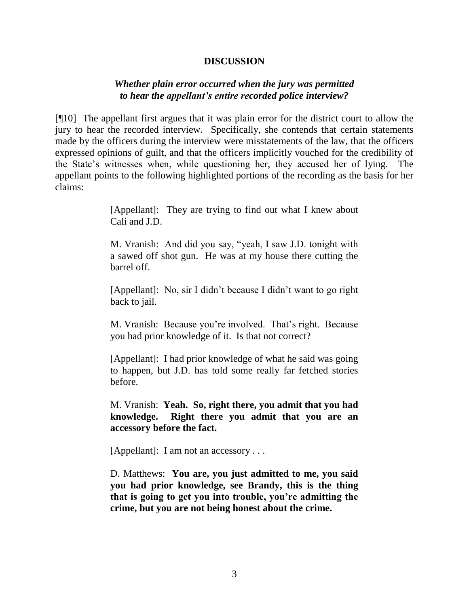#### **DISCUSSION**

### *Whether plain error occurred when the jury was permitted to hear the appellant's entire recorded police interview?*

[¶10] The appellant first argues that it was plain error for the district court to allow the jury to hear the recorded interview. Specifically, she contends that certain statements made by the officers during the interview were misstatements of the law, that the officers expressed opinions of guilt, and that the officers implicitly vouched for the credibility of the State"s witnesses when, while questioning her, they accused her of lying. The appellant points to the following highlighted portions of the recording as the basis for her claims:

> [Appellant]: They are trying to find out what I knew about Cali and J.D.

> M. Vranish: And did you say, "yeah, I saw J.D. tonight with a sawed off shot gun. He was at my house there cutting the barrel off.

> [Appellant]: No, sir I didn"t because I didn"t want to go right back to jail.

> M. Vranish: Because you"re involved. That"s right. Because you had prior knowledge of it. Is that not correct?

> [Appellant]: I had prior knowledge of what he said was going to happen, but J.D. has told some really far fetched stories before.

> M. Vranish: **Yeah. So, right there, you admit that you had knowledge. Right there you admit that you are an accessory before the fact.**

[Appellant]: I am not an accessory . . .

D. Matthews: **You are, you just admitted to me, you said you had prior knowledge, see Brandy, this is the thing that is going to get you into trouble, you're admitting the crime, but you are not being honest about the crime.**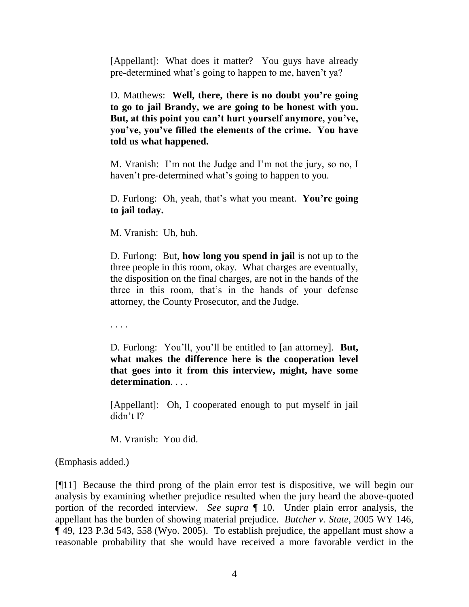[Appellant]: What does it matter? You guys have already pre-determined what"s going to happen to me, haven"t ya?

D. Matthews: **Well, there, there is no doubt you're going to go to jail Brandy, we are going to be honest with you. But, at this point you can't hurt yourself anymore, you've, you've, you've filled the elements of the crime. You have told us what happened.**

M. Vranish: I'm not the Judge and I'm not the jury, so no, I haven't pre-determined what's going to happen to you.

D. Furlong: Oh, yeah, that"s what you meant. **You're going to jail today.**

M. Vranish: Uh, huh.

D. Furlong: But, **how long you spend in jail** is not up to the three people in this room, okay. What charges are eventually, the disposition on the final charges, are not in the hands of the three in this room, that"s in the hands of your defense attorney, the County Prosecutor, and the Judge.

. . . .

D. Furlong: You"ll, you"ll be entitled to [an attorney]. **But, what makes the difference here is the cooperation level that goes into it from this interview, might, have some determination**. . . .

[Appellant]: Oh, I cooperated enough to put myself in jail didn"t I?

M. Vranish: You did.

(Emphasis added.)

[¶11] Because the third prong of the plain error test is dispositive, we will begin our analysis by examining whether prejudice resulted when the jury heard the above-quoted portion of the recorded interview. *See supra* ¶ 10. Under plain error analysis, the appellant has the burden of showing material prejudice. *Butcher v. State*, 2005 WY 146, ¶ 49, 123 P.3d 543, 558 (Wyo. 2005). To establish prejudice, the appellant must show a reasonable probability that she would have received a more favorable verdict in the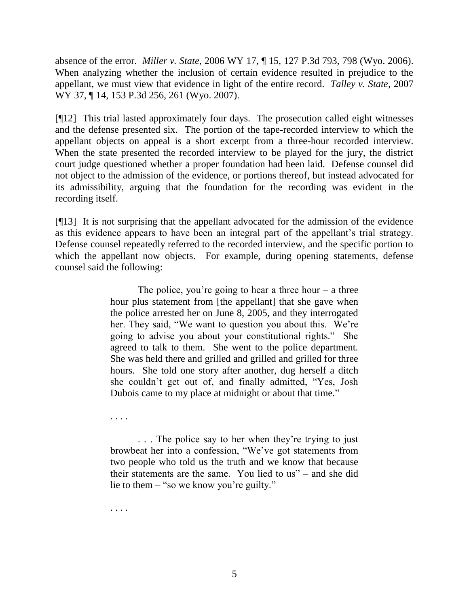absence of the error. *Miller v. State*, 2006 WY 17, ¶ 15, 127 P.3d 793, 798 (Wyo. 2006). When analyzing whether the inclusion of certain evidence resulted in prejudice to the appellant, we must view that evidence in light of the entire record. *Talley v. State*, 2007 WY 37, ¶ 14, 153 P.3d 256, 261 (Wyo. 2007).

[¶12] This trial lasted approximately four days. The prosecution called eight witnesses and the defense presented six. The portion of the tape-recorded interview to which the appellant objects on appeal is a short excerpt from a three-hour recorded interview. When the state presented the recorded interview to be played for the jury, the district court judge questioned whether a proper foundation had been laid. Defense counsel did not object to the admission of the evidence, or portions thereof, but instead advocated for its admissibility, arguing that the foundation for the recording was evident in the recording itself.

[¶13] It is not surprising that the appellant advocated for the admission of the evidence as this evidence appears to have been an integral part of the appellant's trial strategy. Defense counsel repeatedly referred to the recorded interview, and the specific portion to which the appellant now objects. For example, during opening statements, defense counsel said the following:

> The police, you're going to hear a three hour  $-$  a three hour plus statement from [the appellant] that she gave when the police arrested her on June 8, 2005, and they interrogated her. They said, "We want to question you about this. We're going to advise you about your constitutional rights." She agreed to talk to them. She went to the police department. She was held there and grilled and grilled and grilled for three hours. She told one story after another, dug herself a ditch she couldn"t get out of, and finally admitted, "Yes, Josh Dubois came to my place at midnight or about that time."

. . . .

. . . The police say to her when they"re trying to just browbeat her into a confession, "We"ve got statements from two people who told us the truth and we know that because their statements are the same. You lied to us" – and she did lie to them – "so we know you"re guilty."

. . . .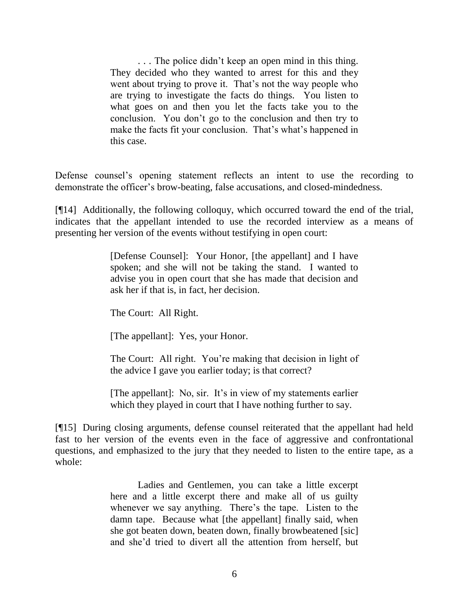. . . The police didn"t keep an open mind in this thing. They decided who they wanted to arrest for this and they went about trying to prove it. That's not the way people who are trying to investigate the facts do things. You listen to what goes on and then you let the facts take you to the conclusion. You don"t go to the conclusion and then try to make the facts fit your conclusion. That's what's happened in this case.

Defense counsel"s opening statement reflects an intent to use the recording to demonstrate the officer"s brow-beating, false accusations, and closed-mindedness.

[¶14] Additionally, the following colloquy, which occurred toward the end of the trial, indicates that the appellant intended to use the recorded interview as a means of presenting her version of the events without testifying in open court:

> [Defense Counsel]: Your Honor, [the appellant] and I have spoken; and she will not be taking the stand. I wanted to advise you in open court that she has made that decision and ask her if that is, in fact, her decision.

The Court: All Right.

[The appellant]: Yes, your Honor.

The Court: All right. You're making that decision in light of the advice I gave you earlier today; is that correct?

[The appellant]: No, sir. It's in view of my statements earlier which they played in court that I have nothing further to say.

[¶15] During closing arguments, defense counsel reiterated that the appellant had held fast to her version of the events even in the face of aggressive and confrontational questions, and emphasized to the jury that they needed to listen to the entire tape, as a whole:

> Ladies and Gentlemen, you can take a little excerpt here and a little excerpt there and make all of us guilty whenever we say anything. There's the tape. Listen to the damn tape. Because what [the appellant] finally said, when she got beaten down, beaten down, finally browbeatened [sic] and she"d tried to divert all the attention from herself, but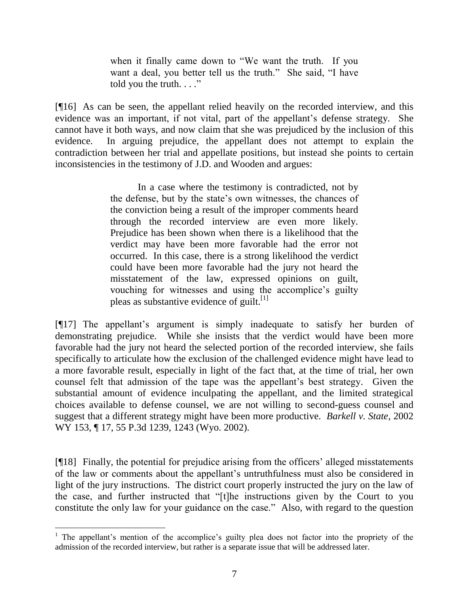when it finally came down to "We want the truth. If you want a deal, you better tell us the truth." She said, "I have told you the truth.  $\ldots$ "

[¶16] As can be seen, the appellant relied heavily on the recorded interview, and this evidence was an important, if not vital, part of the appellant"s defense strategy. She cannot have it both ways, and now claim that she was prejudiced by the inclusion of this evidence. In arguing prejudice, the appellant does not attempt to explain the contradiction between her trial and appellate positions, but instead she points to certain inconsistencies in the testimony of J.D. and Wooden and argues:

> In a case where the testimony is contradicted, not by the defense, but by the state's own witnesses, the chances of the conviction being a result of the improper comments heard through the recorded interview are even more likely. Prejudice has been shown when there is a likelihood that the verdict may have been more favorable had the error not occurred. In this case, there is a strong likelihood the verdict could have been more favorable had the jury not heard the misstatement of the law, expressed opinions on guilt, vouching for witnesses and using the accomplice"s guilty pleas as substantive evidence of guilt. $[1]$

[¶17] The appellant"s argument is simply inadequate to satisfy her burden of demonstrating prejudice. While she insists that the verdict would have been more favorable had the jury not heard the selected portion of the recorded interview, she fails specifically to articulate how the exclusion of the challenged evidence might have lead to a more favorable result, especially in light of the fact that, at the time of trial, her own counsel felt that admission of the tape was the appellant"s best strategy. Given the substantial amount of evidence inculpating the appellant, and the limited strategical choices available to defense counsel, we are not willing to second-guess counsel and suggest that a different strategy might have been more productive. *Barkell v. State*, 2002 WY 153, ¶ 17, 55 P.3d 1239, 1243 (Wyo. 2002).

[¶18] Finally, the potential for prejudice arising from the officers' alleged misstatements of the law or comments about the appellant"s untruthfulness must also be considered in light of the jury instructions. The district court properly instructed the jury on the law of the case, and further instructed that "[t]he instructions given by the Court to you constitute the only law for your guidance on the case." Also, with regard to the question

 <sup>1</sup> The appellant's mention of the accomplice's guilty plea does not factor into the propriety of the admission of the recorded interview, but rather is a separate issue that will be addressed later.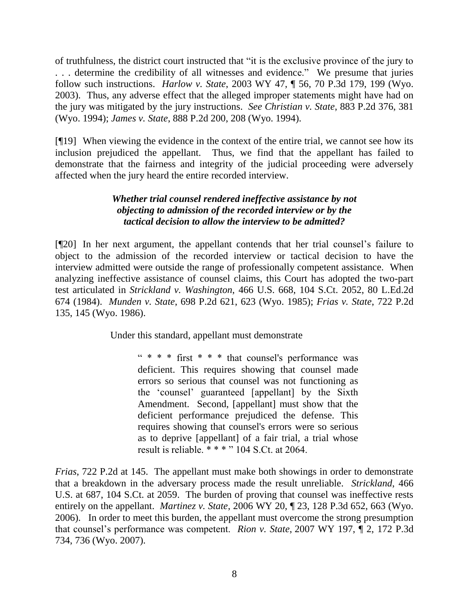of truthfulness, the district court instructed that "it is the exclusive province of the jury to . . . determine the credibility of all witnesses and evidence." We presume that juries follow such instructions. *Harlow v. State*, 2003 WY 47, ¶ 56, 70 P.3d 179, 199 (Wyo. 2003). Thus, any adverse effect that the alleged improper statements might have had on the jury was mitigated by the jury instructions. *See Christian v. State*, 883 P.2d 376, 381 (Wyo. 1994); *James v. State*, 888 P.2d 200, 208 (Wyo. 1994).

[¶19] When viewing the evidence in the context of the entire trial, we cannot see how its inclusion prejudiced the appellant. Thus, we find that the appellant has failed to demonstrate that the fairness and integrity of the judicial proceeding were adversely affected when the jury heard the entire recorded interview.

# *Whether trial counsel rendered ineffective assistance by not objecting to admission of the recorded interview or by the tactical decision to allow the interview to be admitted?*

[¶20] In her next argument, the appellant contends that her trial counsel"s failure to object to the admission of the recorded interview or tactical decision to have the interview admitted were outside the range of professionally competent assistance. When analyzing ineffective assistance of counsel claims, this Court has adopted the two-part test articulated in *Strickland v. Washington*, 466 U.S. 668, 104 S.Ct. 2052, 80 L.Ed.2d 674 (1984). *Munden v. State*, 698 P.2d 621, 623 (Wyo. 1985); *Frias v. State*, 722 P.2d 135, 145 (Wyo. 1986).

Under this standard, appellant must demonstrate

" \* \* \* first \* \* \* that counsel's performance was deficient. This requires showing that counsel made errors so serious that counsel was not functioning as the "counsel" guaranteed [appellant] by the Sixth Amendment. Second, [appellant] must show that the deficient performance prejudiced the defense. This requires showing that counsel's errors were so serious as to deprive [appellant] of a fair trial, a trial whose result is reliable. \* \* \* " 104 S.Ct. at 2064.

*Frias*, 722 P.2d at 145. The appellant must make both showings in order to demonstrate that a breakdown in the adversary process made the result unreliable. *Strickland*, 466 U.S. at 687, 104 S.Ct. at 2059. The burden of proving that counsel was ineffective rests entirely on the appellant. *Martinez v. State*, 2006 WY 20, ¶ 23, 128 P.3d 652, 663 (Wyo. 2006). In order to meet this burden, the appellant must overcome the strong presumption that counsel"s performance was competent. *Rion v. State*, 2007 WY 197, ¶ 2, 172 P.3d 734, 736 (Wyo. 2007).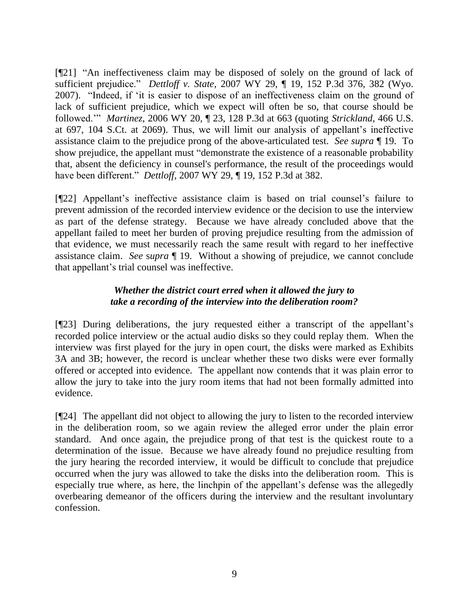[¶21] "An ineffectiveness claim may be disposed of solely on the ground of lack of sufficient prejudice." *Dettloff v. State,* 2007 WY 29, ¶ 19, 152 P.3d 376, 382 (Wyo. 2007)."Indeed, if "it is easier to dispose of an ineffectiveness claim on the ground of lack of sufficient prejudice, which we expect will often be so, that course should be followed."" *Martinez*, 2006 WY 20, ¶ 23, 128 P.3d at 663 (quoting *Strickland*, 466 U.S. at 697, 104 S.Ct. at 2069). Thus, we will limit our analysis of appellant"s ineffective assistance claim to the prejudice prong of the above-articulated test. *See supra* ¶ 19. To show prejudice, the appellant must "demonstrate the existence of a reasonable probability that, absent the deficiency in counsel's performance, the result of the proceedings would have been different." *Dettloff*, 2007 WY 29, ¶ 19, 152 P.3d at 382.

[¶22] Appellant"s ineffective assistance claim is based on trial counsel"s failure to prevent admission of the recorded interview evidence or the decision to use the interview as part of the defense strategy. Because we have already concluded above that the appellant failed to meet her burden of proving prejudice resulting from the admission of that evidence, we must necessarily reach the same result with regard to her ineffective assistance claim. *See* s*upra* ¶ 19. Without a showing of prejudice, we cannot conclude that appellant"s trial counsel was ineffective.

# *Whether the district court erred when it allowed the jury to take a recording of the interview into the deliberation room?*

[¶23] During deliberations, the jury requested either a transcript of the appellant"s recorded police interview or the actual audio disks so they could replay them. When the interview was first played for the jury in open court, the disks were marked as Exhibits 3A and 3B; however, the record is unclear whether these two disks were ever formally offered or accepted into evidence. The appellant now contends that it was plain error to allow the jury to take into the jury room items that had not been formally admitted into evidence.

[¶24] The appellant did not object to allowing the jury to listen to the recorded interview in the deliberation room, so we again review the alleged error under the plain error standard. And once again, the prejudice prong of that test is the quickest route to a determination of the issue. Because we have already found no prejudice resulting from the jury hearing the recorded interview, it would be difficult to conclude that prejudice occurred when the jury was allowed to take the disks into the deliberation room. This is especially true where, as here, the linchpin of the appellant's defense was the allegedly overbearing demeanor of the officers during the interview and the resultant involuntary confession.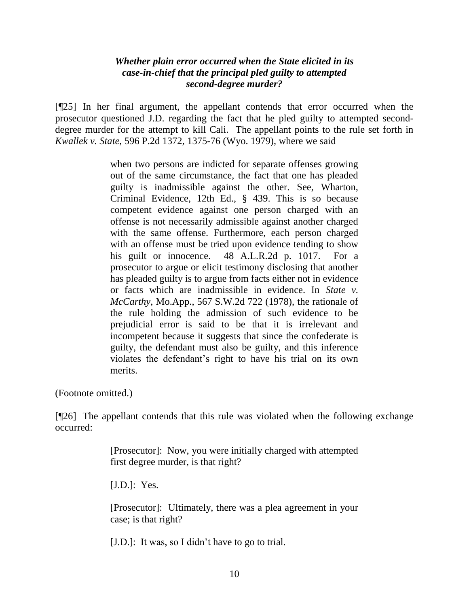## *Whether plain error occurred when the State elicited in its case-in-chief that the principal pled guilty to attempted second-degree murder?*

[¶25] In her final argument, the appellant contends that error occurred when the prosecutor questioned J.D. regarding the fact that he pled guilty to attempted seconddegree murder for the attempt to kill Cali. The appellant points to the rule set forth in *Kwallek v. State*, 596 P.2d 1372, 1375-76 (Wyo. 1979), where we said

> when two persons are indicted for separate offenses growing out of the same circumstance, the fact that one has pleaded guilty is inadmissible against the other. See, Wharton, Criminal Evidence, 12th Ed., § 439. This is so because competent evidence against one person charged with an offense is not necessarily admissible against another charged with the same offense. Furthermore, each person charged with an offense must be tried upon evidence tending to show his guilt or innocence. 48 A.L.R.2d p. 1017. For a prosecutor to argue or elicit testimony disclosing that another has pleaded guilty is to argue from facts either not in evidence or facts which are inadmissible in evidence. In *State v. McCarthy*, Mo.App., 567 S.W.2d 722 (1978), the rationale of the rule holding the admission of such evidence to be prejudicial error is said to be that it is irrelevant and incompetent because it suggests that since the confederate is guilty, the defendant must also be guilty, and this inference violates the defendant"s right to have his trial on its own merits.

(Footnote omitted.)

[¶26] The appellant contends that this rule was violated when the following exchange occurred:

> [Prosecutor]: Now, you were initially charged with attempted first degree murder, is that right?

[J.D.]: Yes.

[Prosecutor]: Ultimately, there was a plea agreement in your case; is that right?

[J.D.]: It was, so I didn't have to go to trial.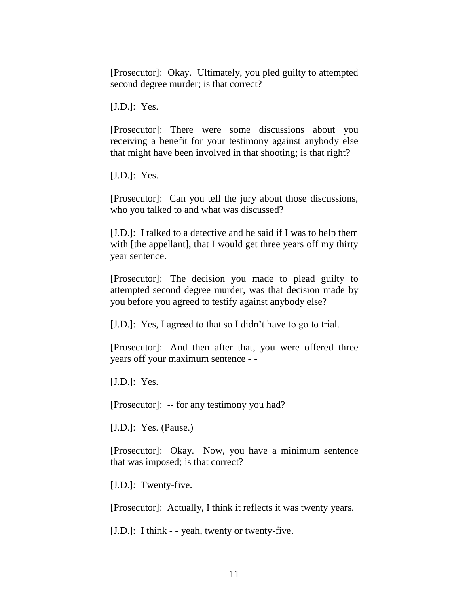[Prosecutor]: Okay. Ultimately, you pled guilty to attempted second degree murder; is that correct?

[J.D.]: Yes.

[Prosecutor]: There were some discussions about you receiving a benefit for your testimony against anybody else that might have been involved in that shooting; is that right?

[J.D.]: Yes.

[Prosecutor]: Can you tell the jury about those discussions, who you talked to and what was discussed?

[J.D.]: I talked to a detective and he said if I was to help them with [the appellant], that I would get three years off my thirty year sentence.

[Prosecutor]: The decision you made to plead guilty to attempted second degree murder, was that decision made by you before you agreed to testify against anybody else?

[J.D.]: Yes, I agreed to that so I didn"t have to go to trial.

[Prosecutor]: And then after that, you were offered three years off your maximum sentence - -

[J.D.]: Yes.

[Prosecutor]: -- for any testimony you had?

[J.D.]: Yes. (Pause.)

[Prosecutor]: Okay. Now, you have a minimum sentence that was imposed; is that correct?

[J.D.]: Twenty-five.

[Prosecutor]: Actually, I think it reflects it was twenty years.

[J.D.]: I think - - yeah, twenty or twenty-five.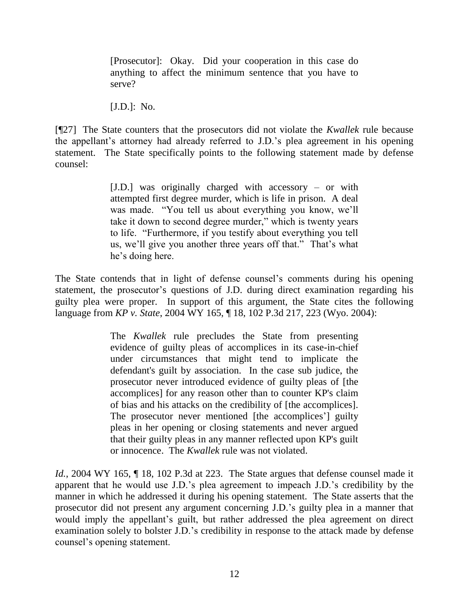[Prosecutor]: Okay. Did your cooperation in this case do anything to affect the minimum sentence that you have to serve?

[J.D.]: No.

[¶27] The State counters that the prosecutors did not violate the *Kwallek* rule because the appellant's attorney had already referred to J.D.'s plea agreement in his opening statement. The State specifically points to the following statement made by defense counsel:

> [J.D.] was originally charged with accessory – or with attempted first degree murder, which is life in prison. A deal was made. "You tell us about everything you know, we"ll take it down to second degree murder," which is twenty years to life. "Furthermore, if you testify about everything you tell us, we"ll give you another three years off that." That"s what he"s doing here.

The State contends that in light of defense counsel's comments during his opening statement, the prosecutor's questions of J.D. during direct examination regarding his guilty plea were proper. In support of this argument, the State cites the following language from *KP v. State*, 2004 WY 165, ¶ 18, 102 P.3d 217, 223 (Wyo. 2004):

> The *Kwallek* rule precludes the State from presenting evidence of guilty pleas of accomplices in its case-in-chief under circumstances that might tend to implicate the defendant's guilt by association. In the case sub judice, the prosecutor never introduced evidence of guilty pleas of [the accomplices] for any reason other than to counter KP's claim of bias and his attacks on the credibility of [the accomplices]. The prosecutor never mentioned [the accomplices'] guilty pleas in her opening or closing statements and never argued that their guilty pleas in any manner reflected upon KP's guilt or innocence. The *Kwallek* rule was not violated.

*Id.*, 2004 WY 165,  $\parallel$  18, 102 P.3d at 223. The State argues that defense counsel made it apparent that he would use J.D."s plea agreement to impeach J.D."s credibility by the manner in which he addressed it during his opening statement. The State asserts that the prosecutor did not present any argument concerning J.D."s guilty plea in a manner that would imply the appellant's guilt, but rather addressed the plea agreement on direct examination solely to bolster J.D."s credibility in response to the attack made by defense counsel"s opening statement.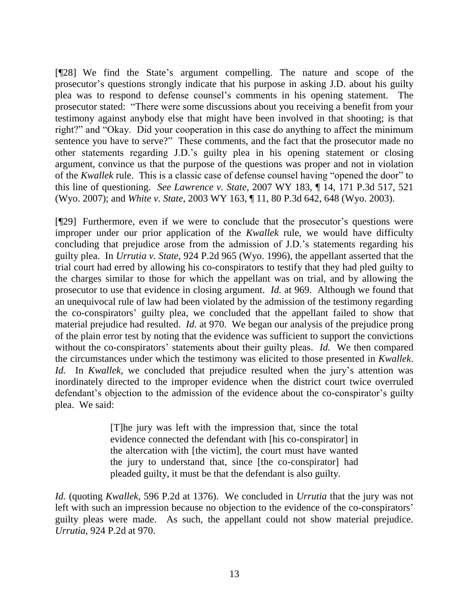[¶28] We find the State"s argument compelling. The nature and scope of the prosecutor's questions strongly indicate that his purpose in asking J.D. about his guilty plea was to respond to defense counsel"s comments in his opening statement. The prosecutor stated: "There were some discussions about you receiving a benefit from your testimony against anybody else that might have been involved in that shooting; is that right?" and "Okay. Did your cooperation in this case do anything to affect the minimum sentence you have to serve?" These comments, and the fact that the prosecutor made no other statements regarding J.D."s guilty plea in his opening statement or closing argument, convince us that the purpose of the questions was proper and not in violation of the *Kwallek* rule. This is a classic case of defense counsel having "opened the door" to this line of questioning. *See Lawrence v. State*, 2007 WY 183, ¶ 14, 171 P.3d 517, 521 (Wyo. 2007); and *White v. State*, 2003 WY 163, ¶ 11, 80 P.3d 642, 648 (Wyo. 2003).

[¶29] Furthermore, even if we were to conclude that the prosecutor's questions were improper under our prior application of the *Kwallek* rule, we would have difficulty concluding that prejudice arose from the admission of J.D."s statements regarding his guilty plea. In *Urrutia v. State*, 924 P.2d 965 (Wyo. 1996), the appellant asserted that the trial court had erred by allowing his co-conspirators to testify that they had pled guilty to the charges similar to those for which the appellant was on trial, and by allowing the prosecutor to use that evidence in closing argument. *Id.* at 969. Although we found that an unequivocal rule of law had been violated by the admission of the testimony regarding the co-conspirators" guilty plea, we concluded that the appellant failed to show that material prejudice had resulted. *Id.* at 970.We began our analysis of the prejudice prong of the plain error test by noting that the evidence was sufficient to support the convictions without the co-conspirators' statements about their guilty pleas. *Id.* We then compared the circumstances under which the testimony was elicited to those presented in *Kwallek*. *Id.* In *Kwallek*, we concluded that prejudice resulted when the jury's attention was inordinately directed to the improper evidence when the district court twice overruled defendant's objection to the admission of the evidence about the co-conspirator's guilty plea. We said:

> [T]he jury was left with the impression that, since the total evidence connected the defendant with [his co-conspirator] in the altercation with [the victim], the court must have wanted the jury to understand that, since [the co-conspirator] had pleaded guilty, it must be that the defendant is also guilty.

*Id.* (quoting *Kwallek,* 596 P.2d at 1376). We concluded in *Urrutia* that the jury was not left with such an impression because no objection to the evidence of the co-conspirators' guilty pleas were made. As such, the appellant could not show material prejudice. *Urrutia,* 924 P.2d at 970.